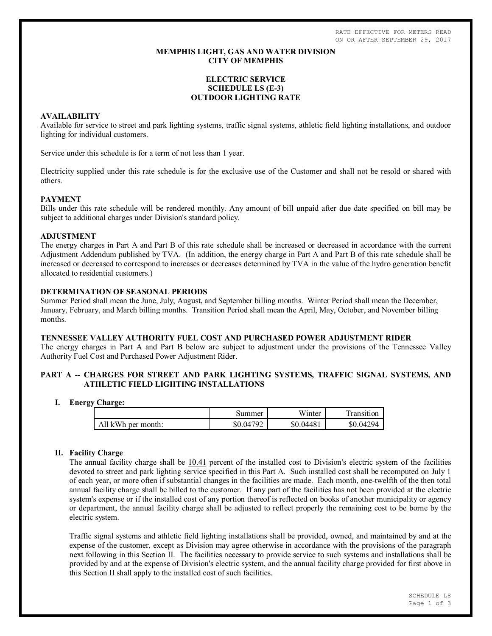RATE EFFECTIVE FOR METERS READ ON OR AFTER SEPTEMBER 29, 2017

# **MEMPHIS LIGHT, GAS AND WATER DIVISION CITY OF MEMPHIS**

# **ELECTRIC SERVICE SCHEDULE LS (E-3) OUTDOOR LIGHTING RATE**

# **AVAILABILITY**

Available for service to street and park lighting systems, traffic signal systems, athletic field lighting installations, and outdoor lighting for individual customers.

Service under this schedule is for a term of not less than 1 year.

Electricity supplied under this rate schedule is for the exclusive use of the Customer and shall not be resold or shared with others.

## **PAYMENT**

Bills under this rate schedule will be rendered monthly. Any amount of bill unpaid after due date specified on bill may be subject to additional charges under Division's standard policy.

### **ADJUSTMENT**

The energy charges in Part A and Part B of this rate schedule shall be increased or decreased in accordance with the current Adjustment Addendum published by TVA. (In addition, the energy charge in Part A and Part B of this rate schedule shall be increased or decreased to correspond to increases or decreases determined by TVA in the value of the hydro generation benefit allocated to residential customers.)

# **DETERMINATION OF SEASONAL PERIODS**

Summer Period shall mean the June, July, August, and September billing months. Winter Period shall mean the December, January, February, and March billing months. Transition Period shall mean the April, May, October, and November billing months.

# **TENNESSEE VALLEY AUTHORITY FUEL COST AND PURCHASED POWER ADJUSTMENT RIDER**

The energy charges in Part A and Part B below are subject to adjustment under the provisions of the Tennessee Valley Authority Fuel Cost and Purchased Power Adjustment Rider.

# **PART A -- CHARGES FOR STREET AND PARK LIGHTING SYSTEMS, TRAFFIC SIGNAL SYSTEMS, AND ATHLETIC FIELD LIGHTING INSTALLATIONS**

#### **I. Energy Charge:**

|                    | Summer    | Winter    | Transition |
|--------------------|-----------|-----------|------------|
| All kWh per month: | \$0.04792 | \$0.04481 | \$0.04294  |

# **II. Facility Charge**

The annual facility charge shall be 10.41 percent of the installed cost to Division's electric system of the facilities devoted to street and park lighting service specified in this Part A. Such installed cost shall be recomputed on July 1 of each year, or more often if substantial changes in the facilities are made. Each month, one-twelfth of the then total annual facility charge shall be billed to the customer. If any part of the facilities has not been provided at the electric system's expense or if the installed cost of any portion thereof is reflected on books of another municipality or agency or department, the annual facility charge shall be adjusted to reflect properly the remaining cost to be borne by the electric system.

Traffic signal systems and athletic field lighting installations shall be provided, owned, and maintained by and at the expense of the customer, except as Division may agree otherwise in accordance with the provisions of the paragraph next following in this Section II. The facilities necessary to provide service to such systems and installations shall be provided by and at the expense of Division's electric system, and the annual facility charge provided for first above in this Section II shall apply to the installed cost of such facilities.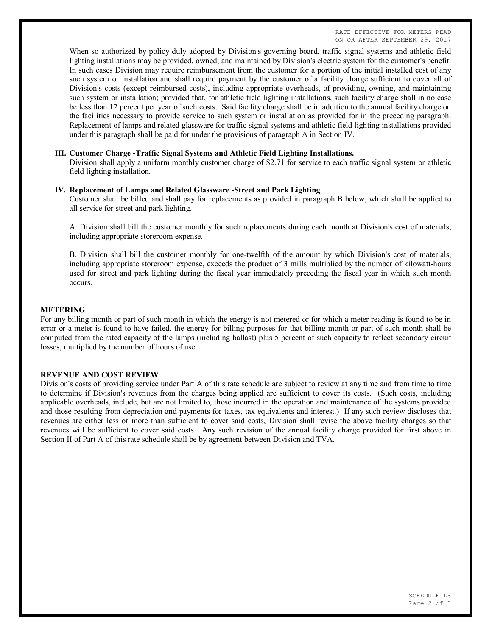When so authorized by policy duly adopted by Division's governing board, traffic signal systems and athletic field lighting installations may be provided, owned, and maintained by Division's electric system for the customer's benefit. In such cases Division may require reimbursement from the customer for a portion of the initial installed cost of any such system or installation and shall require payment by the customer of a facility charge sufficient to cover all of Division's costs (except reimbursed costs), including appropriate overheads, of providing, owning, and maintaining such system or installation; provided that, for athletic field lighting installations, such facility charge shall in no case be less than 12 percent per year of such costs. Said facility charge shall be in addition to the annual facility charge on the facilities necessary to provide service to such system or installation as provided for in the preceding paragraph. Replacement of lamps and related glassware for traffic signal systems and athletic field lighting installations provided under this paragraph shall be paid for under the provisions of paragraph A in Section IV.

### **III. Customer Charge -Traffic Signal Systems and Athletic Field Lighting Installations.**

Division shall apply a uniform monthly customer charge of  $$2.71$  for service to each traffic signal system or athletic field lighting installation.

## **IV. Replacement of Lamps and Related Glassware -Street and Park Lighting**

Customer shall be billed and shall pay for replacements as provided in paragraph B below, which shall be applied to all service for street and park lighting.

A. Division shall bill the customer monthly for such replacements during each month at Division's cost of materials, including appropriate storeroom expense.

B. Division shall bill the customer monthly for one-twelfth of the amount by which Division's cost of materials, including appropriate storeroom expense, exceeds the product of 3 mills multiplied by the number of kilowatt-hours used for street and park lighting during the fiscal year immediately preceding the fiscal year in which such month occurs.

#### **METERING**

For any billing month or part of such month in which the energy is not metered or for which a meter reading is found to be in error or a meter is found to have failed, the energy for billing purposes for that billing month or part of such month shall be computed from the rated capacity of the lamps (including ballast) plus 5 percent of such capacity to reflect secondary circuit losses, multiplied by the number of hours of use.

#### **REVENUE AND COST REVIEW**

Division's costs of providing service under Part A of this rate schedule are subject to review at any time and from time to time to determine if Division's revenues from the charges being applied are sufficient to cover its costs. (Such costs, including applicable overheads, include, but are not limited to, those incurred in the operation and maintenance of the systems provided and those resulting from depreciation and payments for taxes, tax equivalents and interest.) If any such review discloses that revenues are either less or more than sufficient to cover said costs, Division shall revise the above facility charges so that revenues will be sufficient to cover said costs. Any such revision of the annual facility charge provided for first above in Section II of Part A of this rate schedule shall be by agreement between Division and TVA.